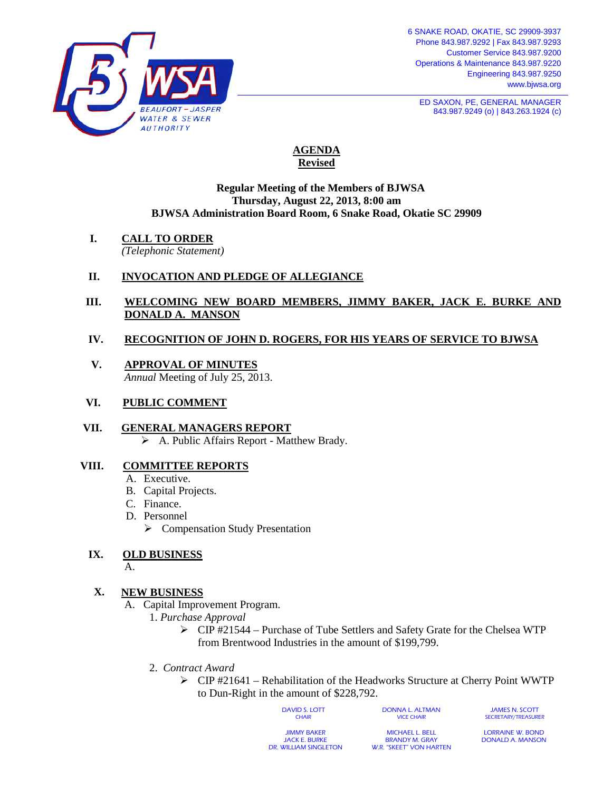

**ED SAXON, PE, GENERAL MANAGER** 843.987.9249 (o) | 843.263.1924 (c)

# **AGENDA Revised**

#### **Regular Meeting of the Members of BJWSA Thursday, August 22, 2013, 8:00 am BJWSA Administration Board Room, 6 Snake Road, Okatie SC 29909**

**I. CALL TO ORDER**

*(Telephonic Statement)*

## **II. INVOCATION AND PLEDGE OF ALLEGIANCE**

## **III. WELCOMING NEW BOARD MEMBERS, JIMMY BAKER, JACK E. BURKE AND DONALD A. MANSON**

## **IV. RECOGNITION OF JOHN D. ROGERS, FOR HIS YEARS OF SERVICE TO BJWSA**

- **V. APPROVAL OF MINUTES** *Annual* Meeting of July 25, 2013.
- **VI. PUBLIC COMMENT**
- **VII. GENERAL MANAGERS REPORT** A. Public Affairs Report - Matthew Brady.

### **VIII. COMMITTEE REPORTS**

- A. Executive.
- B. Capital Projects.
- C. Finance.
- D. Personnel
	- $\triangleright$  Compensation Study Presentation

# **IX. OLD BUSINESS**

A.

# **X. NEW BUSINESS**

- A. Capital Improvement Program.
	- 1. *Purchase Approval*
		- $\triangleright$  CIP #21544 Purchase of Tube Settlers and Safety Grate for the Chelsea WTP from Brentwood Industries in the amount of \$199,799.
	- 2. *Contract Award*
		- $\triangleright$  CIP #21641 Rehabilitation of the Headworks Structure at Cherry Point WWTP to Dun-Right in the amount of \$228,792.

DAVID S. LOTT **CHAIR** 

DONNA L. ALTMAN VICE CHAIR

JAMES N. SCOTT SECRETARY/TREASURER

JIMMY BAKER JACK E. BURKE DR. WILLIAM SINGLETON

MICHAEL L. BELL BRANDY M. GRAY W.R. "SKEET" VON HARTEN

LORRAINE W. BOND DONALD A. MANSON